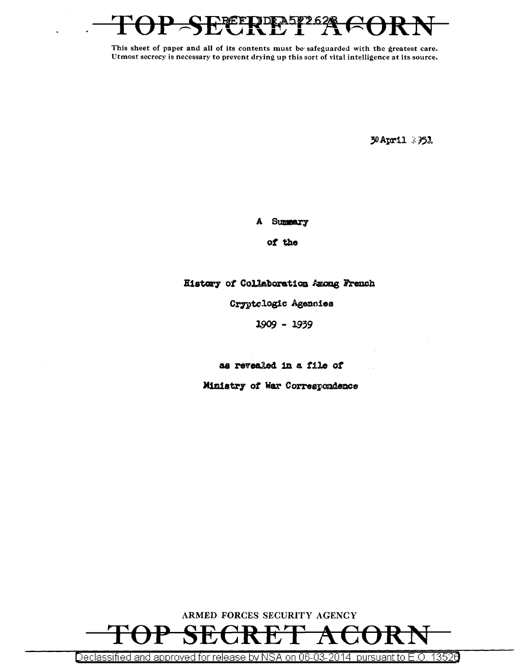

30 April 3351

A Summary

of the

History of Collaboration Among French

Cryptologic Agencies

 $1909 - 1939$ 

as revealed in a file of

Ministry of War Correspondence



Declassified and approved for release by NSA on 06-03-2014 pursuant to E.O. 13526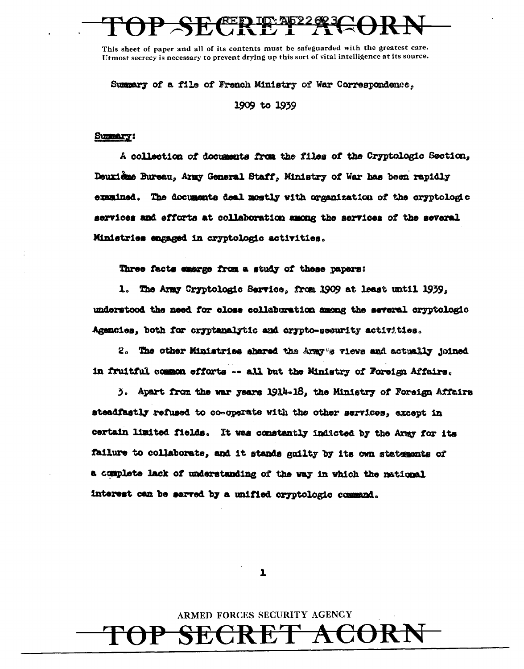Summary of a file of French Ministry of War Correspondence. 1909 to 1939

### Summary:

A collection of documents from the files of the Cryptologic Section, Deuxième Bureau, Army General Staff, Ministry of War has been rapidly examined. The documents deal mostly with organization of the oryptologic services and efforts at collaboration among the services of the several Ministries engaged in cryptologic activities.

Three facts exerge from a study of these papers:

1. The Army Cryptologic Service, from 1909 at least until 1939, understood the need for close collaboration among the several cryptologic Agencies, both for cryptanalytic and crypto-security activities.

2. The other Ministries shared the Army's views and actually joined in fruitful common efforts -- all but the Ministry of Foreign Affairs.

3. Apart from the war years 1914-18, the Ministry of Foreign Affairs steadfastly refused to co-operate with the other services, except in certain limited fields. It was constantly indicted by the Army for its failure to collaborate, and it stands guilty by its own statements of a complete lack of understanding of the way in which the national interest can be served by a unified cryptologic command.

 $\mathbf{r}$ 

ARMED FORCES SECURITY AGENCY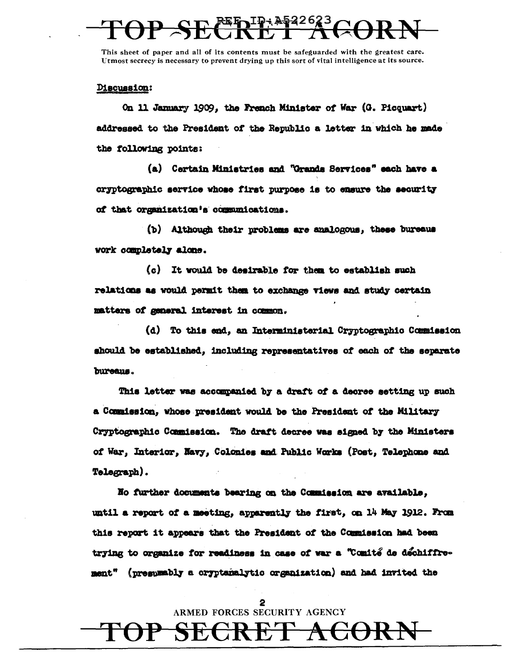Discussion:

On 11 January 1909, the French Minister of War (G. Picquart) addressed to the President of the Republic a letter in which he made the following points:

(a) Certain Ministries and "Grands Services" each have a cryptographic service whose first purpose is to ensure the security of that organization's communications.

(b) Although their problems are analogous, these bureaus work completely alone.

(c) It would be desirable for them to establish such relations as would permit them to exchange views and study certain matters of general interest in common.

(d) To this end, an Interministerial Cryptographic Commission should be established, including representatives of each of the separate bureaus.

This letter was accompanied by a draft of a decree setting up such a Commission, whose president would be the President of the Military Cryptographic Commission. The draft decree was signed by the Ministers of War, Interior, Navy, Colonies and Public Works (Post, Telephone and Telegraph).

No further documents bearing on the Commission are available, until a report of a meeting, apparently the first, on 14 May 1912. From this report it appears that the President of the Commission had been trying to organize for readiness in case of war a "Comité de déchiffrement" (presumably a cryptanalytic organization) and had invited the

> $\mathbf{2}$ ARMED FORCES SECURITY AGENCY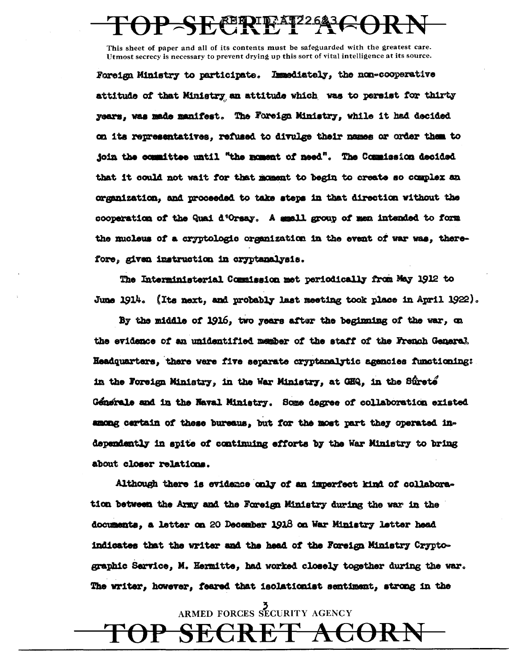## **EERIFAT22623(~)**

This sheet of paper and all of its contents must be safeguarded with the greatest care. Utmost secrecy is necessary to prevent drying up this sort of vital intelligence at its source.

Foreign Ministry to participate. Immediately, the non-cooperative attitude of that Ministry an attitude which was to persist for thirty years, was made manifest. The Foreign Ministry, while it had decided on its representatives, refused to divulge their names or order them to join the committee until "the moment of need". The Commission decided that it could not wait for that moment to begin to create so complex an organization, and proceeded to take steps in that direction without the cooperation of the Quai d'Orsay. A small group of men intended to form the mucleus of a cryptologic organization in the event of war was, therefore, given instruction in cryptanalysis.

The Interministerial Commission met periodically from May 1912 to June 1914. (Its next, and probably last meeting took place in April 1922).

By the middle of 1916, two years after the beginning of the war, on the evidence of an unidentified member of the staff of the French General. Headquarters, there were five separate cryptanalytic agencies functioning: in the Foreign Ministry, in the War Ministry, at GHQ, in the Sûrete Génerale and in the Naval Ministry. Some degree of collaboration existed among certain of these bureaus, but for the most part they operated independently in spite of continuing efforts by the War Ministry to bring about closer relations.

Although there is evidence only of an imperfect kind of collaboration between the Army and the Foreign Ministry during the war in the documents, a letter on 20 December 1918 on War Ministry letter head indicates that the writer and the head of the Foreign Ministry Cryptographic Sarvice, M. Hermitte, had worked closely together during the war. The writer, however, feared that isolationist sentiment, strong in the

ARMED FORCES SECURITY AGENCY

Kt

<del>ACORP</del>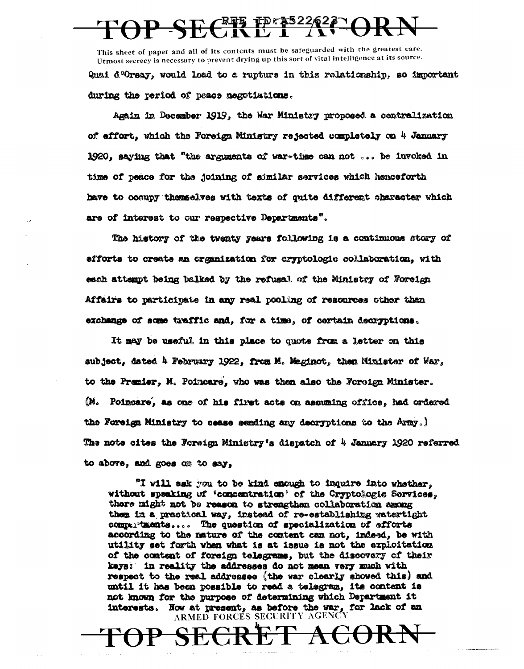# $\frac{10.2322626}{1}$

This sheet of paper and all of its contents must be safeguarded with the greatest care. Utmost secrecy is necessary to prevent drying up this sort of vital intelligence at its source.

Quai d'Orsay, would load to a rupture in this relationship, so important during the period of peace negotiations.

Again in December 1919, the War Ministry proposed a centralization of effort, which the Foreign Ministry rejected completely on 4 January 1920, saying that "the arguments of war-time can not ... be invoked in time of peace for the joining of similar services which heaceforth have to occupy themselves with texts of quite different character which are of interest to our respective Departments".

The history of the twenty years following is a continuous story of efforts to create an organization for cryptologic collaboration, with each attempt being balked by the refusal of the Ministry of Foreign Affairs to participate in any real pooling of resources other than exchange of some traffic and, for a time, of certain decryptions.

It may be useful in this place to quote from a letter on this subject, dated 4 February 1922, from M. Maginot, then Minister of War, to the Premier, M. Poincare, who was then also the Foreign Minister. (M. Poincare, as one of his first acts on assuming office, had ordered the Foreign Ministry to cease sending any decryptions to the Army.) The note cites the Foreign Ministry's dispatch of 4 January 1920 referred to above, and goes on to say,

"I will ask you to be kind enough to inquire into whether, without speaking of 'concentration' of the Cryptologic Services, there might not be reason to strengthen collaboration among them in a practical way, instead of re-establishing watertight compartments.... The question of specialization of efforts according to the nature of the content can not, indeed, be with utility set forth when what is at issue is not the exploitation of the content of foreign telegrams, but the discovery of their keys: in reality the addresses do not mean very much with respect to the real addressee (the war clearly showed this) and until it has been possible to read a telegram, its content is not known for the purpose of determining which Department it interests. Now at present, as before the war, for lack of an ARMED FORCES SECURITY AGENC

 $\bm{\lambda}$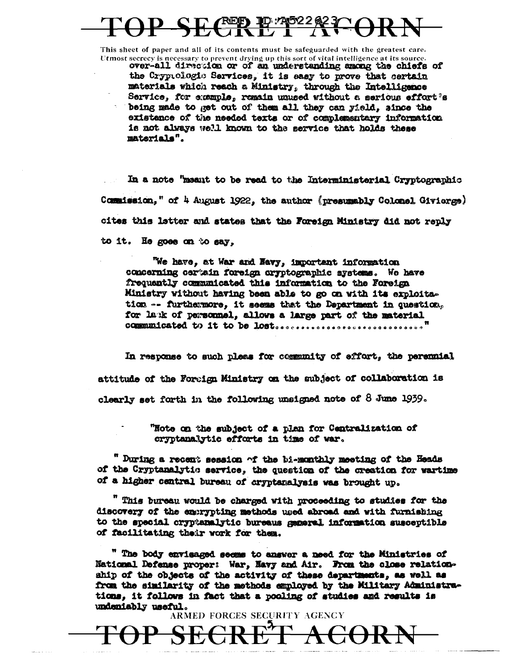# REED TO: 745226270

This sheet of paper and all of its contents must be safeguarded with the greatest care. Utmost secrecy is necessary to prevent drying up this sort of vital intelligence at its source.

over-all direction or of an understanding among the chiefs of the Crypiclogic Services, it is easy to prove that certain materials which reach a Ministry, through the Intelligence Service, for example, remain unused without a serious effort's being made to get out of them all they can yield, since the existence of the needed texts or of complementary information is not always well known to the service that holds these materials".

In a note "meant to be read to the Interministerial Cryptographic Commission," of 4 August 1922, the author (presumably Colonel Givierge) cites this letter and states that the Foreign Ministry did not reply to it. He goes on to say,

We have, at War and Navy, important information concerning certain foreign cryptographic systems. We have frequently communicated this information to the Foreign Ministry without having been able to go on with its exploitstion -- furthermore, it seems that the Department in question, for lank of personnel, allows a large part of the material 

In response to such pleas for community of effort, the persunial attitude of the Foreign Ministry on the subject of collaboration is clearly set forth in the following unsigned note of  $8$  June 1939.

> "Note on the subject of a plan for Centralization of cryptanalytic efforts in time of war.

" During a recent session of the bi-monthly meeting of the Heads of the Cryptanalytic service, the question of the creation for wartime of a higher central bureau of cryptanalysis was brought up.

" This bureau would be charged with proceeding to studies for the discovery of the exerypting methods used abroad and with furnishing to the special cryptanalytic bureaus general information susceptible of facilitating their work for them.

" The body envisaged seems to answer a need for the Ministries of National Defense proper: War, Mavy and Air. From the close relationship of the objects of the activity of these departments, as well as from the similarity of the methods employed by the Military Administrations, it follows in fact that a pooling of studies and results is undeniably useful.

<del>SECRET ACOR</del>

ARMED FORCES SECURITY AGENCY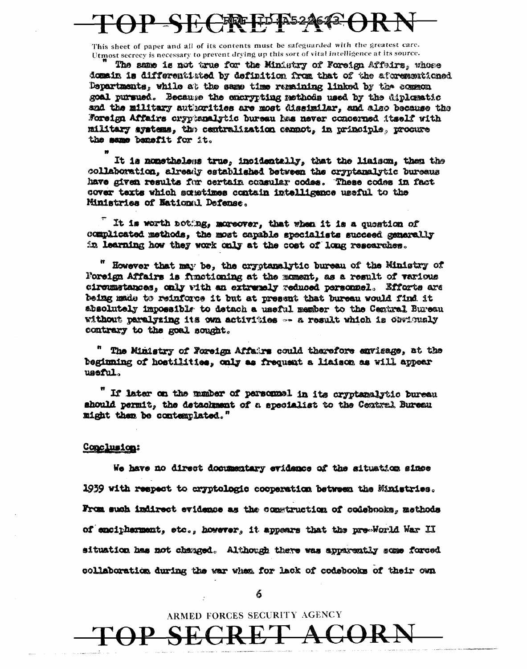## 七峰也

This sheet of paper and all of its contents must be safeguarded with the greatest care. Utmost secrecy is necessary to prevent drying up this sort of vital intelligence at its source.

The same is not true for the Ministry of Foreign Affeirs, whose domain is differentisted by definition from that of the aforementioned Departments, while at the same time remaining linked by the common goal pursued. Because the concrypting methods used by the diplomatic and the military authorities are most dissimilar, and also because the Foreign Affairs cryptemalytic bureau has never concerned itself with military systems, the centralization cannot, in principle, procure the same banefit for it.

It is nonstheless true, incidentally, that the liaison, then the collaboration, already established between the cryptanalytic bureaus have given results for certain consular codes. These codes in fact cover texts which scretimes contain intelligence useful to the Ministries of National Defense.

It is worth noting, moreover, that when it is a quostion of complicated methods, the most capable specialists succeed generally in learning how they work only at the cost of long researches.

" However that may be, the cryptanalytic bureau of the Ministry of Foreign Affairs is functioning at the moment, as a result of various circumstances, only with an extremely reduced personnel. Efforts are being made to reinforce it but at present that bureau would find it absolutely impossible to detach a useful member to the Central Bureau without paralyzing its own activities -- a result which is obviously contrary to the goal sought.

" The Ministry of Foreign Affairs could therefore envisage, at the beginning of hostilities, only as frequent a liaison as will appear useful.

If later on the munber of personnel in its cryptanalytic bureau should permit, the detachment of a specialist to the Central Bureau might then be contemplated."

### Conclusion:

We have no direct documentary evidence of the situation since 1939 with respect to aryptologic cooperation between the Ministries. From such indirect evidence as the construction of codebooks, methods of encipherment, etc., however, it appears that the pre-World War II situation has not changed. Although there was apparently some forced collaboration during the war when for lack of codebooks of their own

6

ARMED FORCES SECURITY AGENCY

SECRET AC